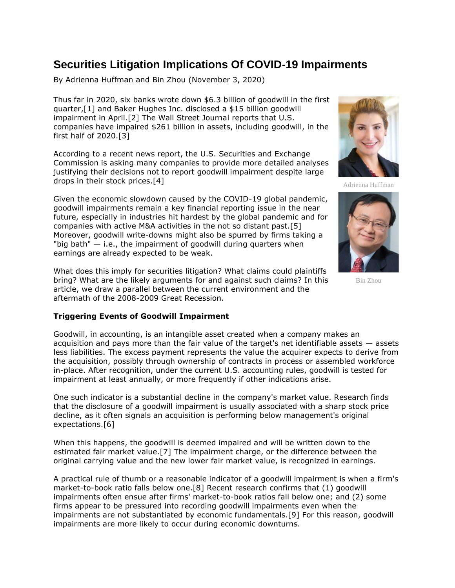## **Securities Litigation Implications Of COVID-19 Impairments**

By Adrienna Huffman and Bin Zhou (November 3, 2020)

Thus far in 2020, six banks wrote down \$6.3 billion of goodwill in the first quarter,[1] and [Baker Hughes Inc.](https://www.law360.com/companies/baker-hughes-inc) disclosed a \$15 billion goodwill impairment in April.[2] The Wall Street Journal reports that U.S. companies have impaired \$261 billion in assets, including goodwill, in the first half of 2020.[3]

According to a recent news report, the [U.S. Securities and Exchange](https://www.law360.com/agencies/u-s-securities-and-exchange-commission)  [Commission](https://www.law360.com/agencies/u-s-securities-and-exchange-commission) is asking many companies to provide more detailed analyses justifying their decisions not to report goodwill impairment despite large drops in their stock prices.[4]

Given the economic slowdown caused by the COVID-19 global pandemic, goodwill impairments remain a key financial reporting issue in the near future, especially in industries hit hardest by the global pandemic and for companies with active M&A activities in the not so distant past.[5] Moreover, goodwill write-downs might also be spurred by firms taking a "big bath"  $-$  i.e., the impairment of goodwill during quarters when earnings are already expected to be weak.

What does this imply for securities litigation? What claims could plaintiffs bring? What are the likely arguments for and against such claims? In this article, we draw a parallel between the current environment and the aftermath of the 2008-2009 Great Recession.

## **Triggering Events of Goodwill Impairment**

Goodwill, in accounting, is an intangible asset created when a company makes an acquisition and pays more than the fair value of the target's net identifiable assets — assets less liabilities. The excess payment represents the value the acquirer expects to derive from the acquisition, possibly through ownership of contracts in process or assembled workforce in-place. After recognition, under the current U.S. accounting rules, goodwill is tested for impairment at least annually, or more frequently if other indications arise.

One such indicator is a substantial decline in the company's market value. Research finds that the disclosure of a goodwill impairment is usually associated with a sharp stock price decline, as it often signals an acquisition is performing below management's original expectations.[6]

When this happens, the goodwill is deemed impaired and will be written down to the estimated fair market value.[7] The impairment charge, or the difference between the original carrying value and the new lower fair market value, is recognized in earnings.

A practical rule of thumb or a reasonable indicator of a goodwill impairment is when a firm's market-to-book ratio falls below one.[8] Recent research confirms that (1) goodwill impairments often ensue after firms' market-to-book ratios fall below one; and (2) some firms appear to be pressured into recording goodwill impairments even when the impairments are not substantiated by economic fundamentals.[9] For this reason, goodwill impairments are more likely to occur during economic downturns.



Adrienna Huffman



Bin Zhou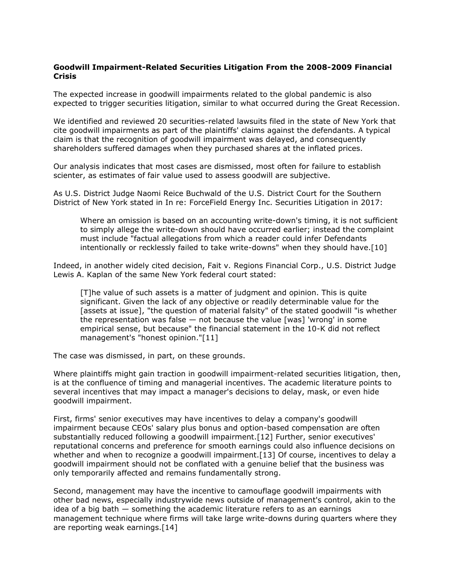## **Goodwill Impairment-Related Securities Litigation From the 2008-2009 Financial Crisis**

The expected increase in goodwill impairments related to the global pandemic is also expected to trigger securities litigation, similar to what occurred during the Great Recession.

We identified and reviewed 20 securities-related lawsuits filed in the state of New York that cite goodwill impairments as part of the plaintiffs' claims against the defendants. A typical claim is that the recognition of goodwill impairment was delayed, and consequently shareholders suffered damages when they purchased shares at the inflated prices.

Our analysis indicates that most cases are dismissed, most often for failure to establish scienter, as estimates of fair value used to assess goodwill are subjective.

As U.S. District Judge Naomi Reice Buchwald of the U.S. District Court for the Southern District of New York stated in In re: ForceField Energy Inc. Securities Litigation in 2017:

Where an omission is based on an accounting write-down's timing, it is not sufficient to simply allege the write-down should have occurred earlier; instead the complaint must include "factual allegations from which a reader could infer Defendants intentionally or recklessly failed to take write-downs" when they should have.[10]

Indeed, in another widely cited decision, Fait v. [Regions Financial Corp.](https://www.law360.com/companies/regions-financial-corp), U.S. District Judge Lewis A. Kaplan of the same New York federal court stated:

[T]he value of such assets is a matter of judgment and opinion. This is quite significant. Given the lack of any objective or readily determinable value for the [assets at issue], "the question of material falsity" of the stated goodwill "is whether the representation was false — not because the value [was] 'wrong' in some empirical sense, but because" the financial statement in the 10-K did not reflect management's "honest opinion."[11]

The case was dismissed, in part, on these grounds.

Where plaintiffs might gain traction in goodwill impairment-related securities litigation, then, is at the confluence of timing and managerial incentives. The academic literature points to several incentives that may impact a manager's decisions to delay, mask, or even hide goodwill impairment.

First, firms' senior executives may have incentives to delay a company's goodwill impairment because CEOs' salary plus bonus and option-based compensation are often substantially reduced following a goodwill impairment.[12] Further, senior executives' reputational concerns and preference for smooth earnings could also influence decisions on whether and when to recognize a goodwill impairment. [13] Of course, incentives to delay a goodwill impairment should not be conflated with a genuine belief that the business was only temporarily affected and remains fundamentally strong.

Second, management may have the incentive to camouflage goodwill impairments with other bad news, especially industrywide news outside of management's control, akin to the idea of a big bath — something the academic literature refers to as an earnings management technique where firms will take large write-downs during quarters where they are reporting weak earnings.[14]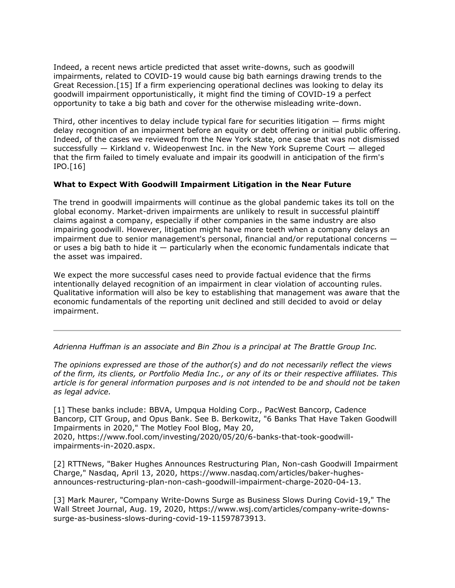Indeed, a recent news article predicted that asset write-downs, such as goodwill impairments, related to COVID-19 would cause big bath earnings drawing trends to the Great Recession.[15] If a firm experiencing operational declines was looking to delay its goodwill impairment opportunistically, it might find the timing of COVID-19 a perfect opportunity to take a big bath and cover for the otherwise misleading write-down.

Third, other incentives to delay include typical fare for securities litigation — firms might delay recognition of an impairment before an equity or debt offering or initial public offering. Indeed, of the cases we reviewed from the New York state, one case that was not dismissed successfully — Kirkland v. Wideopenwest Inc. in the New York Supreme Court — alleged that the firm failed to timely evaluate and impair its goodwill in anticipation of the firm's IPO.[16]

## **What to Expect With Goodwill Impairment Litigation in the Near Future**

The trend in goodwill impairments will continue as the global pandemic takes its toll on the global economy. Market-driven impairments are unlikely to result in successful plaintiff claims against a company, especially if other companies in the same industry are also impairing goodwill. However, litigation might have more teeth when a company delays an impairment due to senior management's personal, financial and/or reputational concerns or uses a big bath to hide it  $-$  particularly when the economic fundamentals indicate that the asset was impaired.

We expect the more successful cases need to provide factual evidence that the firms intentionally delayed recognition of an impairment in clear violation of accounting rules. Qualitative information will also be key to establishing that management was aware that the economic fundamentals of the reporting unit declined and still decided to avoid or delay impairment.

*[Adrienna Huffman](https://www.brattle.com/experts/adrienna-huffman) is an associate and [Bin Zhou](https://www.brattle.com/experts/bin-zhou) is a principal at The [Brattle Group Inc.](https://www.law360.com/companies/the-brattle-group-inc)*

*The opinions expressed are those of the author(s) and do not necessarily reflect the views of the firm, its clients, or Portfolio Media Inc., or any of its or their respective affiliates. This article is for general information purposes and is not intended to be and should not be taken as legal advice.*

[1] These banks include: BBVA, [Umpqua Holding Corp.](https://www.law360.com/companies/umpqua-holdings-corporation), [PacWest Bancorp,](https://www.law360.com/companies/pacwest-bancorp) [Cadence](https://www.law360.com/companies/cadence-bancorp-llc)  [Bancorp,](https://www.law360.com/companies/cadence-bancorp-llc) [CIT Group,](https://www.law360.com/companies/cit-group-inc) and [Opus Bank.](https://www.law360.com/companies/opus-bank) See B. Berkowitz, "6 Banks That Have Taken Goodwill Impairments in 2020," The [Motley Fool Blog,](https://www.law360.com/companies/the-motley-fool-llc) May 20, 2020, [https://www.fool.com/investing/2020/05/20/6-banks-that-took-goodwill](https://www.fool.com/investing/2020/05/20/6-banks-that-took-goodwill-impairments-in-2020.aspx)[impairments-in-2020.aspx.](https://www.fool.com/investing/2020/05/20/6-banks-that-took-goodwill-impairments-in-2020.aspx)

[2] RTTNews, "Baker Hughes Announces Restructuring Plan, Non-cash Goodwill Impairment Charge," [Nasdaq,](https://www.law360.com/companies/nasdaq-inc) April 13, 2020, [https://www.nasdaq.com/articles/baker-hughes](https://www.nasdaq.com/articles/baker-hughes-announces-restructuring-plan-non-cash-goodwill-impairment-charge-2020-04-13)[announces-restructuring-plan-non-cash-goodwill-impairment-charge-2020-04-13.](https://www.nasdaq.com/articles/baker-hughes-announces-restructuring-plan-non-cash-goodwill-impairment-charge-2020-04-13)

[3] Mark Maurer, "Company Write-Downs Surge as Business Slows During Covid-19," The Wall Street Journal, Aug. 19, 2020, [https://www.wsj.com/articles/company-write-downs](https://www.wsj.com/articles/company-write-downs-surge-as-business-slows-during-covid-19-11597873913)[surge-as-business-slows-during-covid-19-11597873913.](https://www.wsj.com/articles/company-write-downs-surge-as-business-slows-during-covid-19-11597873913)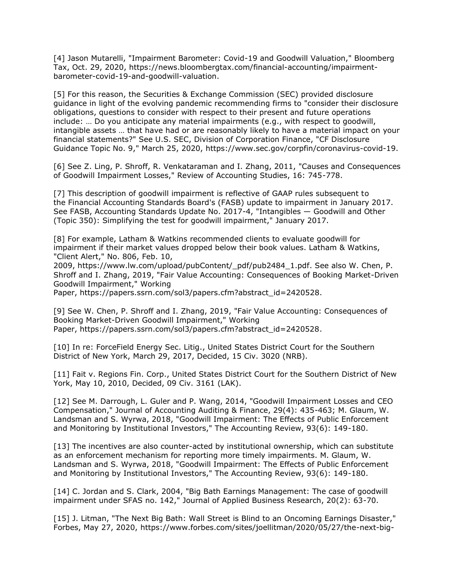[4] Jason Mutarelli, "Impairment Barometer: Covid-19 and Goodwill Valuation," Bloomberg Tax, Oct. 29, 2020, [https://news.bloombergtax.com/financial-accounting/impairment](https://news.bloombergtax.com/financial-accounting/impairment-barometer-covid-19-and-goodwill-valuation)[barometer-covid-19-and-goodwill-valuation.](https://news.bloombergtax.com/financial-accounting/impairment-barometer-covid-19-and-goodwill-valuation)

[5] For this reason, the Securities & Exchange Commission (SEC) provided disclosure guidance in light of the evolving pandemic recommending firms to "consider their disclosure obligations, questions to consider with respect to their present and future operations include: … Do you anticipate any material impairments (e.g., with respect to goodwill, intangible assets … that have had or are reasonably likely to have a material impact on your financial statements?" See U.S. SEC, Division of Corporation Finance, "CF Disclosure Guidance Topic No. 9," March 25, 2020, [https://www.sec.gov/corpfin/coronavirus-covid-19.](https://www.sec.gov/corpfin/coronavirus-covid-19)

[6] See Z. Ling, P. Shroff, R. Venkataraman and I. Zhang, 2011, "Causes and Consequences of Goodwill Impairment Losses," Review of Accounting Studies, 16: 745-778.

[7] This description of goodwill impairment is reflective of GAAP rules subsequent to the [Financial Accounting Standards Board'](https://www.law360.com/companies/financial-accounting-standards-board)s (FASB) update to impairment in January 2017. See FASB, Accounting Standards Update No. 2017-4, "Intangibles — Goodwill and Other (Topic 350): Simplifying the test for goodwill impairment," January 2017.

[8] For example, [Latham & Watkins](https://www.law360.com/firms/latham-watkins) recommended clients to evaluate goodwill for impairment if their market values dropped below their book values. Latham & Watkins, "Client Alert," No. 806, Feb. 10,

2009, [https://www.lw.com/upload/pubContent/\\_pdf/pub2484\\_1.pdf.](https://www.lw.com/upload/pubContent/_pdf/pub2484_1.pdf) See also W. Chen, P. Shroff and I. Zhang, 2019, "Fair Value Accounting: Consequences of Booking Market-Driven Goodwill Impairment," Working

Paper, [https://papers.ssrn.com/sol3/papers.cfm?abstract\\_id=2420528.](https://papers.ssrn.com/sol3/papers.cfm?abstract_id=2420528)

[9] See W. Chen, P. Shroff and I. Zhang, 2019, "Fair Value Accounting: Consequences of Booking Market-Driven Goodwill Impairment," Working Paper, [https://papers.ssrn.com/sol3/papers.cfm?abstract\\_id=2420528.](https://papers.ssrn.com/sol3/papers.cfm?abstract_id=2420528)

[10] In re: ForceField Energy Sec. Litig., United States District Court for the Southern [District of New York,](https://www.law360.com/agencies/u-s-district-court-for-the-southern-district-of-new-york) March 29, 2017, Decided, 15 Civ. 3020 (NRB).

[11] Fait v. Regions Fin. Corp., United States District Court for the Southern District of New York, May 10, 2010, Decided, 09 Civ. 3161 (LAK).

[12] See M. Darrough, L. Guler and P. Wang, 2014, "Goodwill Impairment Losses and CEO Compensation," Journal of Accounting Auditing & Finance, 29(4): 435-463; M. Glaum, W. Landsman and S. Wyrwa, 2018, "Goodwill Impairment: The Effects of Public Enforcement and Monitoring by Institutional Investors," The Accounting Review, 93(6): 149-180.

[13] The incentives are also counter-acted by institutional ownership, which can substitute as an enforcement mechanism for reporting more timely impairments. M. Glaum, W. Landsman and S. Wyrwa, 2018, "Goodwill Impairment: The Effects of Public Enforcement and Monitoring by Institutional Investors," The Accounting Review, 93(6): 149-180.

[14] C. Jordan and S. Clark, 2004, "Big Bath Earnings Management: The case of goodwill impairment under SFAS no. 142," Journal of Applied Business Research, 20(2): 63-70.

[15] J. Litman, "The Next Big Bath: Wall Street is Blind to an Oncoming Earnings Disaster," Forbes, May 27, 2020, [https://www.forbes.com/sites/joellitman/2020/05/27/the-next-big-](https://www.forbes.com/sites/joellitman/2020/05/27/the-next-big-bath-wall-street-is-blind-to-an-oncoming-earnings-disaster/#530f965924c9)